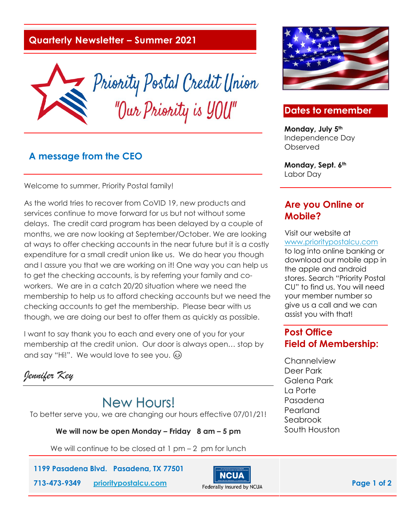## **Quarterly Newsletter – Summer 2021**



## **A message from the CEO**

Welcome to summer, Priority Postal family!

As the world tries to recover from CoVID 19, new products and services continue to move forward for us but not without some delays. The credit card program has been delayed by a couple of months, we are now looking at September/October. We are looking at ways to offer checking accounts in the near future but it is a costly expenditure for a small credit union like us. We do hear you though and I assure you that we are working on it! One way you can help us to get the checking accounts, is by referring your family and coworkers. We are in a catch 20/20 situation where we need the membership to help us to afford checking accounts but we need the checking accounts to get the membership. Please bear with us though, we are doing our best to offer them as quickly as possible.

I want to say thank you to each and every one of you for your membership at the credit union. Our door is always open… stop by and say "Hi!". We would love to see you.

*Jennifer Key*

# **New Hours!**

To better serve you, we are changing our hours effective 07/01/21!

**We will now be open Monday – Friday 8 am – 5 pm**

We will continue to be closed at  $1$  pm  $-2$  pm for lunch

**1199 Pasadena Blvd. Pasadena, TX 77501**





## **Dates to remember**

**Monday, July 5th** Independence Day Observed

**Monday, Sept. 6th** Labor Day

## **Are you Online or Mobile?**

Visit our website at [www.prioritypostalcu.com](http://www.prioritypostalcu.com/) to log into online banking or download our mobile app in the apple and android stores. Search "Priority Postal CU" to find us. You will need your member number so give us a call and we can assist you with that!

## **Post Office Field of Membership:**

**Channelview** Deer Park Galena Park La Porte Pasadena Pearland Seabrook South Houston